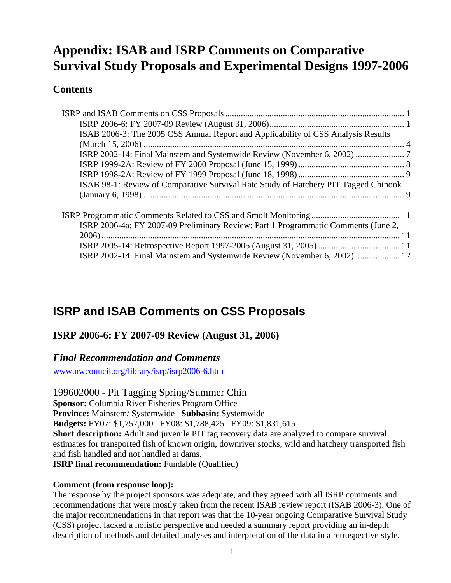# <span id="page-0-0"></span>**Appendix: ISAB and ISRP Comments on Comparative Survival Study Proposals and Experimental Designs 1997-2006**

## **Contents**

| ISAB 2006-3: The 2005 CSS Annual Report and Applicability of CSS Analysis Results   |
|-------------------------------------------------------------------------------------|
|                                                                                     |
|                                                                                     |
|                                                                                     |
|                                                                                     |
| ISAB 98-1: Review of Comparative Survival Rate Study of Hatchery PIT Tagged Chinook |
|                                                                                     |
|                                                                                     |
| ISRP 2006-4a: FY 2007-09 Preliminary Review: Part 1 Programmatic Comments (June 2,  |
|                                                                                     |
|                                                                                     |
| ISRP 2002-14: Final Mainstem and Systemwide Review (November 6, 2002)  12           |

# **ISRP and ISAB Comments on CSS Proposals**

### **ISRP 2006-6: FY 2007-09 Review (August 31, 2006)**

### *Final Recommendation and Comments*

[www.nwcouncil.org/library/isrp/isrp2006-6.htm](http://www.nwcouncil.org/library/isrp/isrp2006-6.htm)

199602000 - Pit Tagging Spring/Summer Chin **Sponsor:** Columbia River Fisheries Program Office **Province:** Mainstem/ Systemwide **Subbasin:** Systemwide **Budgets:** FY07: \$1,757,000 FY08: \$1,788,425 FY09: \$1,831,615 **Short description:** Adult and juvenile PIT tag recovery data are analyzed to compare survival estimates for transported fish of known origin, downriver stocks, wild and hatchery transported fish and fish handled and not handled at dams. **ISRP final recommendation:** Fundable (Qualified)

#### **Comment (from response loop):**

The response by the project sponsors was adequate, and they agreed with all ISRP comments and recommendations that were mostly taken from the recent ISAB review report (ISAB 2006-3). One of the major recommendations in that report was that the 10-year ongoing Comparative Survival Study (CSS) project lacked a holistic perspective and needed a summary report providing an in-depth description of methods and detailed analyses and interpretation of the data in a retrospective style.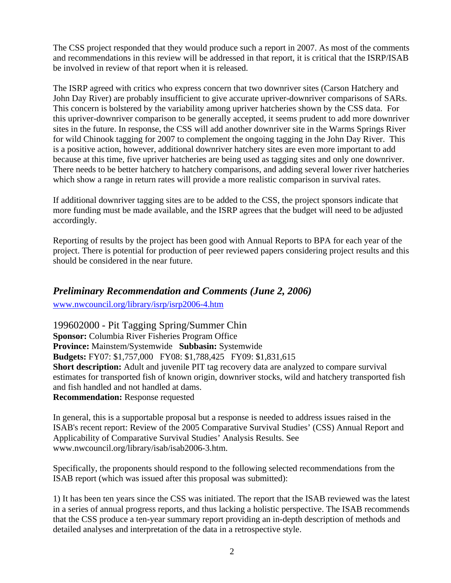The CSS project responded that they would produce such a report in 2007. As most of the comments and recommendations in this review will be addressed in that report, it is critical that the ISRP/ISAB be involved in review of that report when it is released.

The ISRP agreed with critics who express concern that two downriver sites (Carson Hatchery and John Day River) are probably insufficient to give accurate upriver-downriver comparisons of SARs. This concern is bolstered by the variability among upriver hatcheries shown by the CSS data. For this upriver-downriver comparison to be generally accepted, it seems prudent to add more downriver sites in the future. In response, the CSS will add another downriver site in the Warms Springs River for wild Chinook tagging for 2007 to complement the ongoing tagging in the John Day River. This is a positive action, however, additional downriver hatchery sites are even more important to add because at this time, five upriver hatcheries are being used as tagging sites and only one downriver. There needs to be better hatchery to hatchery comparisons, and adding several lower river hatcheries which show a range in return rates will provide a more realistic comparison in survival rates.

If additional downriver tagging sites are to be added to the CSS, the project sponsors indicate that more funding must be made available, and the ISRP agrees that the budget will need to be adjusted accordingly.

Reporting of results by the project has been good with Annual Reports to BPA for each year of the project. There is potential for production of peer reviewed papers considering project results and this should be considered in the near future.

### *Preliminary Recommendation and Comments (June 2, 2006)*

[www.nwcouncil.org/library/isrp/isrp2006-4.htm](http://www.nwcouncil.org/library/isrp/isrp2006-4.htm) 

199602000 - Pit Tagging Spring/Summer Chin **Sponsor:** Columbia River Fisheries Program Office **Province:** Mainstem/Systemwide **Subbasin:** Systemwide **Budgets:** FY07: \$1,757,000 FY08: \$1,788,425 FY09: \$1,831,615 **Short description:** Adult and juvenile PIT tag recovery data are analyzed to compare survival estimates for transported fish of known origin, downriver stocks, wild and hatchery transported fish and fish handled and not handled at dams. **Recommendation:** Response requested

In general, this is a supportable proposal but a response is needed to address issues raised in the ISAB's recent report: Review of the 2005 Comparative Survival Studies' (CSS) Annual Report and Applicability of Comparative Survival Studies' Analysis Results. See www.nwcouncil.org/library/isab/isab2006-3.htm.

Specifically, the proponents should respond to the following selected recommendations from the ISAB report (which was issued after this proposal was submitted):

1) It has been ten years since the CSS was initiated. The report that the ISAB reviewed was the latest in a series of annual progress reports, and thus lacking a holistic perspective. The ISAB recommends that the CSS produce a ten-year summary report providing an in-depth description of methods and detailed analyses and interpretation of the data in a retrospective style.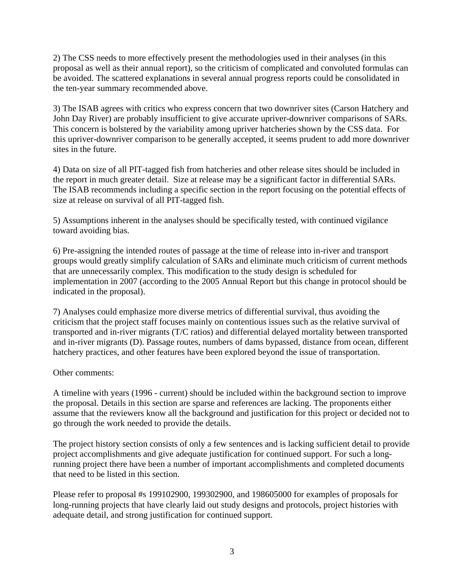2) The CSS needs to more effectively present the methodologies used in their analyses (in this proposal as well as their annual report), so the criticism of complicated and convoluted formulas can be avoided. The scattered explanations in several annual progress reports could be consolidated in the ten-year summary recommended above.

3) The ISAB agrees with critics who express concern that two downriver sites (Carson Hatchery and John Day River) are probably insufficient to give accurate upriver-downriver comparisons of SARs. This concern is bolstered by the variability among upriver hatcheries shown by the CSS data. For this upriver-downriver comparison to be generally accepted, it seems prudent to add more downriver sites in the future.

4) Data on size of all PIT-tagged fish from hatcheries and other release sites should be included in the report in much greater detail. Size at release may be a significant factor in differential SARs. The ISAB recommends including a specific section in the report focusing on the potential effects of size at release on survival of all PIT-tagged fish.

5) Assumptions inherent in the analyses should be specifically tested, with continued vigilance toward avoiding bias.

6) Pre-assigning the intended routes of passage at the time of release into in-river and transport groups would greatly simplify calculation of SARs and eliminate much criticism of current methods that are unnecessarily complex. This modification to the study design is scheduled for implementation in 2007 (according to the 2005 Annual Report but this change in protocol should be indicated in the proposal).

7) Analyses could emphasize more diverse metrics of differential survival, thus avoiding the criticism that the project staff focuses mainly on contentious issues such as the relative survival of transported and in-river migrants (T/C ratios) and differential delayed mortality between transported and in-river migrants (D). Passage routes, numbers of dams bypassed, distance from ocean, different hatchery practices, and other features have been explored beyond the issue of transportation.

#### Other comments:

A timeline with years (1996 - current) should be included within the background section to improve the proposal. Details in this section are sparse and references are lacking. The proponents either assume that the reviewers know all the background and justification for this project or decided not to go through the work needed to provide the details.

The project history section consists of only a few sentences and is lacking sufficient detail to provide project accomplishments and give adequate justification for continued support. For such a longrunning project there have been a number of important accomplishments and completed documents that need to be listed in this section.

Please refer to proposal #s 199102900, 199302900, and 198605000 for examples of proposals for long-running projects that have clearly laid out study designs and protocols, project histories with adequate detail, and strong justification for continued support.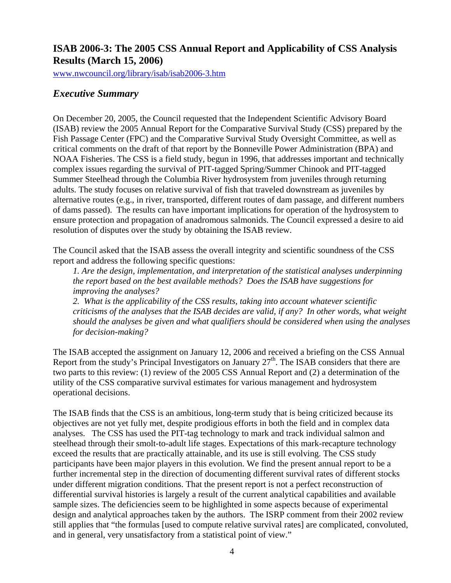## <span id="page-3-0"></span>**ISAB 2006-3: The 2005 CSS Annual Report and Applicability of CSS Analysis Results (March 15, 2006)**

[www.nwcouncil.org/library/isab/isab2006-3.htm](http://www.nwcouncil.org/library/isab/isab2006-3.htm)

## *Executive Summary*

On December 20, 2005, the Council requested that the Independent Scientific Advisory Board (ISAB) review the 2005 Annual Report for the Comparative Survival Study (CSS) prepared by the Fish Passage Center (FPC) and the Comparative Survival Study Oversight Committee, as well as critical comments on the draft of that report by the Bonneville Power Administration (BPA) and NOAA Fisheries. The CSS is a field study, begun in 1996, that addresses important and technically complex issues regarding the survival of PIT-tagged Spring/Summer Chinook and PIT-tagged Summer Steelhead through the Columbia River hydrosystem from juveniles through returning adults. The study focuses on relative survival of fish that traveled downstream as juveniles by alternative routes (e.g., in river, transported, different routes of dam passage, and different numbers of dams passed). The results can have important implications for operation of the hydrosystem to ensure protection and propagation of anadromous salmonids. The Council expressed a desire to aid resolution of disputes over the study by obtaining the ISAB review.

The Council asked that the ISAB assess the overall integrity and scientific soundness of the CSS report and address the following specific questions:

*1. Are the design, implementation, and interpretation of the statistical analyses underpinning the report based on the best available methods? Does the ISAB have suggestions for improving the analyses?* 

*2. What is the applicability of the CSS results, taking into account whatever scientific criticisms of the analyses that the ISAB decides are valid, if any? In other words, what weight should the analyses be given and what qualifiers should be considered when using the analyses for decision-making?* 

The ISAB accepted the assignment on January 12, 2006 and received a briefing on the CSS Annual Report from the study's Principal Investigators on January  $27<sup>th</sup>$ . The ISAB considers that there are two parts to this review: (1) review of the 2005 CSS Annual Report and (2) a determination of the utility of the CSS comparative survival estimates for various management and hydrosystem operational decisions.

The ISAB finds that the CSS is an ambitious, long-term study that is being criticized because its objectives are not yet fully met, despite prodigious efforts in both the field and in complex data analyses. The CSS has used the PIT-tag technology to mark and track individual salmon and steelhead through their smolt-to-adult life stages. Expectations of this mark-recapture technology exceed the results that are practically attainable, and its use is still evolving. The CSS study participants have been major players in this evolution. We find the present annual report to be a further incremental step in the direction of documenting different survival rates of different stocks under different migration conditions. That the present report is not a perfect reconstruction of differential survival histories is largely a result of the current analytical capabilities and available sample sizes. The deficiencies seem to be highlighted in some aspects because of experimental design and analytical approaches taken by the authors. The ISRP comment from their 2002 review still applies that "the formulas [used to compute relative survival rates] are complicated, convoluted, and in general, very unsatisfactory from a statistical point of view."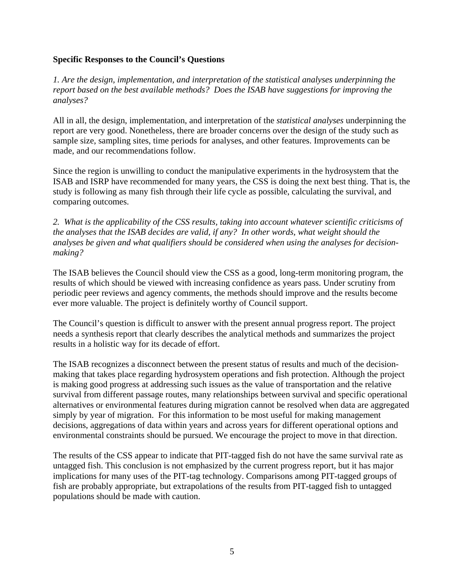#### **Specific Responses to the Council's Questions**

*1. Are the design, implementation, and interpretation of the statistical analyses underpinning the report based on the best available methods? Does the ISAB have suggestions for improving the analyses?* 

All in all, the design, implementation, and interpretation of the *statistical analyses* underpinning the report are very good. Nonetheless, there are broader concerns over the design of the study such as sample size, sampling sites, time periods for analyses, and other features. Improvements can be made, and our recommendations follow.

Since the region is unwilling to conduct the manipulative experiments in the hydrosystem that the ISAB and ISRP have recommended for many years, the CSS is doing the next best thing. That is, the study is following as many fish through their life cycle as possible, calculating the survival, and comparing outcomes.

*2. What is the applicability of the CSS results, taking into account whatever scientific criticisms of the analyses that the ISAB decides are valid, if any? In other words, what weight should the analyses be given and what qualifiers should be considered when using the analyses for decisionmaking?* 

The ISAB believes the Council should view the CSS as a good, long-term monitoring program, the results of which should be viewed with increasing confidence as years pass. Under scrutiny from periodic peer reviews and agency comments, the methods should improve and the results become ever more valuable. The project is definitely worthy of Council support.

The Council's question is difficult to answer with the present annual progress report. The project needs a synthesis report that clearly describes the analytical methods and summarizes the project results in a holistic way for its decade of effort.

The ISAB recognizes a disconnect between the present status of results and much of the decisionmaking that takes place regarding hydrosystem operations and fish protection. Although the project is making good progress at addressing such issues as the value of transportation and the relative survival from different passage routes, many relationships between survival and specific operational alternatives or environmental features during migration cannot be resolved when data are aggregated simply by year of migration. For this information to be most useful for making management decisions, aggregations of data within years and across years for different operational options and environmental constraints should be pursued. We encourage the project to move in that direction.

The results of the CSS appear to indicate that PIT-tagged fish do not have the same survival rate as untagged fish. This conclusion is not emphasized by the current progress report, but it has major implications for many uses of the PIT-tag technology. Comparisons among PIT-tagged groups of fish are probably appropriate, but extrapolations of the results from PIT-tagged fish to untagged populations should be made with caution.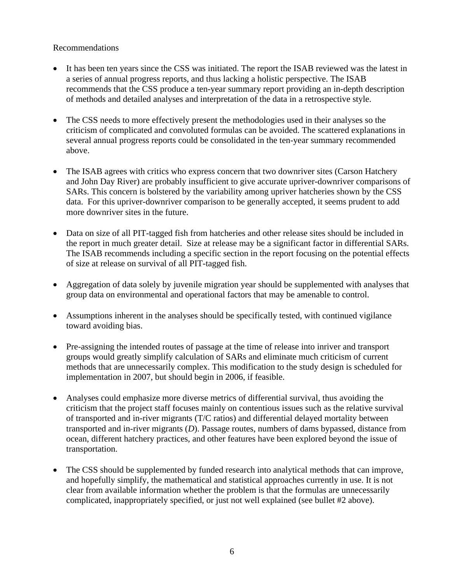#### Recommendations

- It has been ten years since the CSS was initiated. The report the ISAB reviewed was the latest in a series of annual progress reports, and thus lacking a holistic perspective. The ISAB recommends that the CSS produce a ten-year summary report providing an in-depth description of methods and detailed analyses and interpretation of the data in a retrospective style.
- The CSS needs to more effectively present the methodologies used in their analyses so the criticism of complicated and convoluted formulas can be avoided. The scattered explanations in several annual progress reports could be consolidated in the ten-year summary recommended above.
- The ISAB agrees with critics who express concern that two downriver sites (Carson Hatchery and John Day River) are probably insufficient to give accurate upriver-downriver comparisons of SARs. This concern is bolstered by the variability among upriver hatcheries shown by the CSS data. For this upriver-downriver comparison to be generally accepted, it seems prudent to add more downriver sites in the future.
- Data on size of all PIT-tagged fish from hatcheries and other release sites should be included in the report in much greater detail. Size at release may be a significant factor in differential SARs. The ISAB recommends including a specific section in the report focusing on the potential effects of size at release on survival of all PIT-tagged fish.
- Aggregation of data solely by juvenile migration year should be supplemented with analyses that group data on environmental and operational factors that may be amenable to control.
- Assumptions inherent in the analyses should be specifically tested, with continued vigilance toward avoiding bias.
- Pre-assigning the intended routes of passage at the time of release into inriver and transport groups would greatly simplify calculation of SARs and eliminate much criticism of current methods that are unnecessarily complex. This modification to the study design is scheduled for implementation in 2007, but should begin in 2006, if feasible.
- Analyses could emphasize more diverse metrics of differential survival, thus avoiding the criticism that the project staff focuses mainly on contentious issues such as the relative survival of transported and in-river migrants (T/C ratios) and differential delayed mortality between transported and in-river migrants (*D*). Passage routes, numbers of dams bypassed, distance from ocean, different hatchery practices, and other features have been explored beyond the issue of transportation.
- The CSS should be supplemented by funded research into analytical methods that can improve, and hopefully simplify, the mathematical and statistical approaches currently in use. It is not clear from available information whether the problem is that the formulas are unnecessarily complicated, inappropriately specified, or just not well explained (see bullet #2 above).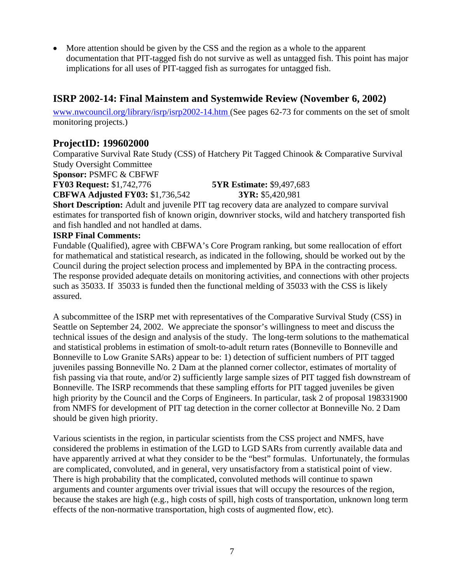<span id="page-6-0"></span>• More attention should be given by the CSS and the region as a whole to the apparent documentation that PIT-tagged fish do not survive as well as untagged fish. This point has major implications for all uses of PIT-tagged fish as surrogates for untagged fish.

## **ISRP 2002-14: Final Mainstem and Systemwide Review (November 6, 2002)**

[www.nwcouncil.org/library/isrp/isrp2002-14.htm](http://www.nwcouncil.org/library/isrp/isrp2002-14.htm) (See pages 62-73 for comments on the set of smolt monitoring projects.)

## **ProjectID: 199602000**

Comparative Survival Rate Study (CSS) of Hatchery Pit Tagged Chinook & Comparative Survival Study Oversight Committee

**Sponsor:** PSMFC & CBFWF

**FY03 Request:** \$1,742,776 **5YR Estimate:** \$9,497,683

**CBFWA Adjusted FY03:** \$1,736,542 **3YR:** \$5,420,981

**Short Description:** Adult and juvenile PIT tag recovery data are analyzed to compare survival estimates for transported fish of known origin, downriver stocks, wild and hatchery transported fish and fish handled and not handled at dams.

#### **ISRP Final Comments:**

Fundable (Qualified), agree with CBFWA's Core Program ranking, but some reallocation of effort for mathematical and statistical research, as indicated in the following, should be worked out by the Council during the project selection process and implemented by BPA in the contracting process. The response provided adequate details on monitoring activities, and connections with other projects such as 35033. If 35033 is funded then the functional melding of 35033 with the CSS is likely assured.

A subcommittee of the ISRP met with representatives of the Comparative Survival Study (CSS) in Seattle on September 24, 2002. We appreciate the sponsor's willingness to meet and discuss the technical issues of the design and analysis of the study. The long-term solutions to the mathematical and statistical problems in estimation of smolt-to-adult return rates (Bonneville to Bonneville and Bonneville to Low Granite SARs) appear to be: 1) detection of sufficient numbers of PIT tagged juveniles passing Bonneville No. 2 Dam at the planned corner collector, estimates of mortality of fish passing via that route, and/or 2) sufficiently large sample sizes of PIT tagged fish downstream of Bonneville. The ISRP recommends that these sampling efforts for PIT tagged juveniles be given high priority by the Council and the Corps of Engineers. In particular, task 2 of proposal 198331900 from NMFS for development of PIT tag detection in the corner collector at Bonneville No. 2 Dam should be given high priority.

Various scientists in the region, in particular scientists from the CSS project and NMFS, have considered the problems in estimation of the LGD to LGD SARs from currently available data and have apparently arrived at what they consider to be the "best" formulas. Unfortunately, the formulas are complicated, convoluted, and in general, very unsatisfactory from a statistical point of view. There is high probability that the complicated, convoluted methods will continue to spawn arguments and counter arguments over trivial issues that will occupy the resources of the region, because the stakes are high (e.g., high costs of spill, high costs of transportation, unknown long term effects of the non-normative transportation, high costs of augmented flow, etc).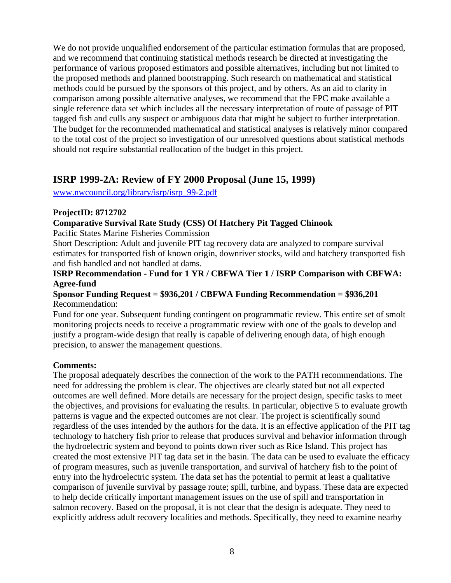<span id="page-7-0"></span>We do not provide unqualified endorsement of the particular estimation formulas that are proposed, and we recommend that continuing statistical methods research be directed at investigating the performance of various proposed estimators and possible alternatives, including but not limited to the proposed methods and planned bootstrapping. Such research on mathematical and statistical methods could be pursued by the sponsors of this project, and by others. As an aid to clarity in comparison among possible alternative analyses, we recommend that the FPC make available a single reference data set which includes all the necessary interpretation of route of passage of PIT tagged fish and culls any suspect or ambiguous data that might be subject to further interpretation. The budget for the recommended mathematical and statistical analyses is relatively minor compared to the total cost of the project so investigation of our unresolved questions about statistical methods should not require substantial reallocation of the budget in this project.

## **ISRP 1999-2A: Review of FY 2000 Proposal (June 15, 1999)**

[www.nwcouncil.org/library/isrp/isrp\\_99-2.pdf](http://www.nwcouncil.org/library/isrp/isrp_99-2.pdf) 

#### **ProjectID: 8712702**

**Comparative Survival Rate Study (CSS) Of Hatchery Pit Tagged Chinook** 

Pacific States Marine Fisheries Commission

Short Description: Adult and juvenile PIT tag recovery data are analyzed to compare survival estimates for transported fish of known origin, downriver stocks, wild and hatchery transported fish and fish handled and not handled at dams.

#### **ISRP Recommendation - Fund for 1 YR / CBFWA Tier 1 / ISRP Comparison with CBFWA: Agree-fund**

#### **Sponsor Funding Request = \$936,201 / CBFWA Funding Recommendation = \$936,201**  Recommendation:

Fund for one year. Subsequent funding contingent on programmatic review. This entire set of smolt monitoring projects needs to receive a programmatic review with one of the goals to develop and justify a program-wide design that really is capable of delivering enough data, of high enough precision, to answer the management questions.

#### **Comments:**

The proposal adequately describes the connection of the work to the PATH recommendations. The need for addressing the problem is clear. The objectives are clearly stated but not all expected outcomes are well defined. More details are necessary for the project design, specific tasks to meet the objectives, and provisions for evaluating the results. In particular, objective 5 to evaluate growth patterns is vague and the expected outcomes are not clear. The project is scientifically sound regardless of the uses intended by the authors for the data. It is an effective application of the PIT tag technology to hatchery fish prior to release that produces survival and behavior information through the hydroelectric system and beyond to points down river such as Rice Island. This project has created the most extensive PIT tag data set in the basin. The data can be used to evaluate the efficacy of program measures, such as juvenile transportation, and survival of hatchery fish to the point of entry into the hydroelectric system. The data set has the potential to permit at least a qualitative comparison of juvenile survival by passage route; spill, turbine, and bypass. These data are expected to help decide critically important management issues on the use of spill and transportation in salmon recovery. Based on the proposal, it is not clear that the design is adequate. They need to explicitly address adult recovery localities and methods. Specifically, they need to examine nearby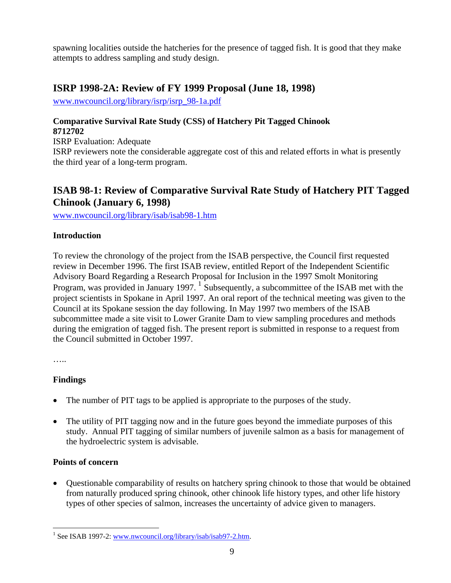<span id="page-8-0"></span>spawning localities outside the hatcheries for the presence of tagged fish. It is good that they make attempts to address sampling and study design.

## **ISRP 1998-2A: Review of FY 1999 Proposal (June 18, 1998)**

[www.nwcouncil.org/library/isrp/isrp\\_98-1a.pdf](http://www.nwcouncil.org/library/isrp/isrp_98-1a.pdf)

#### **Comparative Survival Rate Study (CSS) of Hatchery Pit Tagged Chinook 8712702**

ISRP Evaluation: Adequate

ISRP reviewers note the considerable aggregate cost of this and related efforts in what is presently the third year of a long-term program.

## **ISAB 98-1: Review of Comparative Survival Rate Study of Hatchery PIT Tagged Chinook (January 6, 1998)**

[www.nwcouncil.org/library/isab/isab98-1.htm](http://www.nwcouncil.org/library/isab/isab98-1.htm)

#### **Introduction**

To review the chronology of the project from the ISAB perspective, the Council first requested review in December 1996. The first ISAB review, entitled Report of the Independent Scientific Advisory Board Regarding a Research Proposal for Inclusion in the 1997 Smolt Monitoring Program, was provided in January [1](#page-8-1)997.  $\frac{1}{1}$  Subsequently, a subcommittee of the ISAB met with the project scientists in Spokane in April 1997. An oral report of the technical meeting was given to the Council at its Spokane session the day following. In May 1997 two members of the ISAB subcommittee made a site visit to Lower Granite Dam to view sampling procedures and methods during the emigration of tagged fish. The present report is submitted in response to a request from the Council submitted in October 1997.

…..

#### **Findings**

- The number of PIT tags to be applied is appropriate to the purposes of the study.
- The utility of PIT tagging now and in the future goes beyond the immediate purposes of this study. Annual PIT tagging of similar numbers of juvenile salmon as a basis for management of the hydroelectric system is advisable.

#### **Points of concern**

• Questionable comparability of results on hatchery spring chinook to those that would be obtained from naturally produced spring chinook, other chinook life history types, and other life history types of other species of salmon, increases the uncertainty of advice given to managers.

<span id="page-8-1"></span><sup>&</sup>lt;sup>1</sup> See ISAB 1997-2: [www.nwcouncil.org/library/isab/isab97-2.htm.](http://www.nwcouncil.org/library/isab/isab97-2.htm)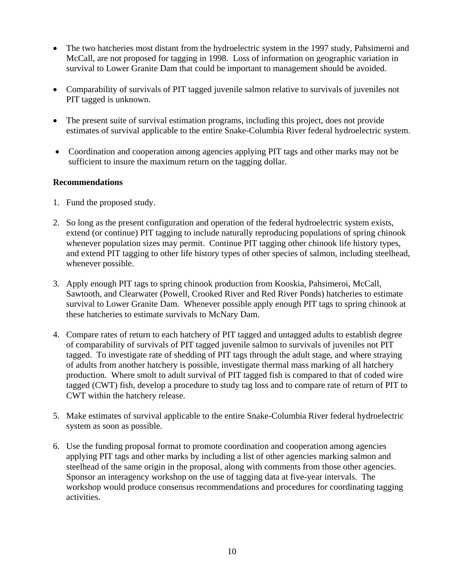- The two hatcheries most distant from the hydroelectric system in the 1997 study, Pahsimeroi and McCall, are not proposed for tagging in 1998. Loss of information on geographic variation in survival to Lower Granite Dam that could be important to management should be avoided.
- Comparability of survivals of PIT tagged juvenile salmon relative to survivals of juveniles not PIT tagged is unknown.
- The present suite of survival estimation programs, including this project, does not provide estimates of survival applicable to the entire Snake-Columbia River federal hydroelectric system.
- Coordination and cooperation among agencies applying PIT tags and other marks may not be sufficient to insure the maximum return on the tagging dollar.

#### **Recommendations**

- 1. Fund the proposed study.
- 2. So long as the present configuration and operation of the federal hydroelectric system exists, extend (or continue) PIT tagging to include naturally reproducing populations of spring chinook whenever population sizes may permit. Continue PIT tagging other chinook life history types, and extend PIT tagging to other life history types of other species of salmon, including steelhead, whenever possible.
- 3. Apply enough PIT tags to spring chinook production from Kooskia, Pahsimeroi, McCall, Sawtooth, and Clearwater (Powell, Crooked River and Red River Ponds) hatcheries to estimate survival to Lower Granite Dam. Whenever possible apply enough PIT tags to spring chinook at these hatcheries to estimate survivals to McNary Dam.
- 4. Compare rates of return to each hatchery of PIT tagged and untagged adults to establish degree of comparability of survivals of PIT tagged juvenile salmon to survivals of juveniles not PIT tagged. To investigate rate of shedding of PIT tags through the adult stage, and where straying of adults from another hatchery is possible, investigate thermal mass marking of all hatchery production. Where smolt to adult survival of PIT tagged fish is compared to that of coded wire tagged (CWT) fish, develop a procedure to study tag loss and to compare rate of return of PIT to CWT within the hatchery release.
- 5. Make estimates of survival applicable to the entire Snake-Columbia River federal hydroelectric system as soon as possible.
- 6. Use the funding proposal format to promote coordination and cooperation among agencies applying PIT tags and other marks by including a list of other agencies marking salmon and steelhead of the same origin in the proposal, along with comments from those other agencies. Sponsor an interagency workshop on the use of tagging data at five-year intervals. The workshop would produce consensus recommendations and procedures for coordinating tagging activities.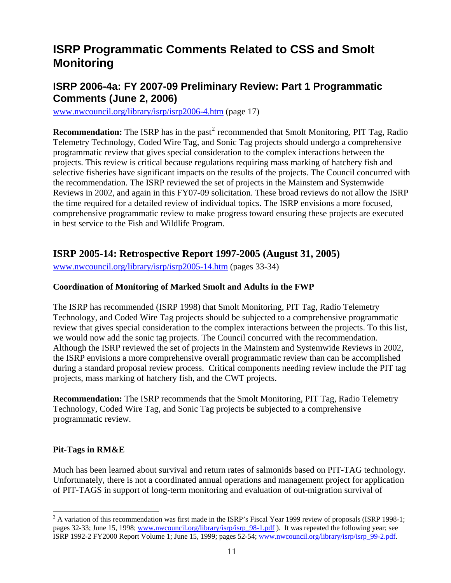# <span id="page-10-0"></span>**ISRP Programmatic Comments Related to CSS and Smolt Monitoring**

## **ISRP 2006-4a: FY 2007-09 Preliminary Review: Part 1 Programmatic Comments (June 2, 2006)**

[www.nwcouncil.org/library/isrp/isrp2006-4.htm](http://www.nwcouncil.org/library/isrp/isrp2006-4.htm) (page 17)

**Recommendation:** The ISRP has in the past<sup>[2](#page-10-1)</sup> recommended that Smolt Monitoring, PIT Tag, Radio Telemetry Technology, Coded Wire Tag, and Sonic Tag projects should undergo a comprehensive programmatic review that gives special consideration to the complex interactions between the projects. This review is critical because regulations requiring mass marking of hatchery fish and selective fisheries have significant impacts on the results of the projects. The Council concurred with the recommendation. The ISRP reviewed the set of projects in the Mainstem and Systemwide Reviews in 2002, and again in this FY07-09 solicitation. These broad reviews do not allow the ISRP the time required for a detailed review of individual topics. The ISRP envisions a more focused, comprehensive programmatic review to make progress toward ensuring these projects are executed in best service to the Fish and Wildlife Program.

## **ISRP 2005-14: Retrospective Report 1997-2005 (August 31, 2005)**

[www.nwcouncil.org/library/isrp/isrp2005-14.htm](http://www.nwcouncil.org/library/isrp/isrp2005-14.htm) (pages 33-34)

#### **Coordination of Monitoring of Marked Smolt and Adults in the FWP**

The ISRP has recommended (ISRP 1998) that Smolt Monitoring, PIT Tag, Radio Telemetry Technology, and Coded Wire Tag projects should be subjected to a comprehensive programmatic review that gives special consideration to the complex interactions between the projects. To this list, we would now add the sonic tag projects. The Council concurred with the recommendation. Although the ISRP reviewed the set of projects in the Mainstem and Systemwide Reviews in 2002, the ISRP envisions a more comprehensive overall programmatic review than can be accomplished during a standard proposal review process. Critical components needing review include the PIT tag projects, mass marking of hatchery fish, and the CWT projects.

**Recommendation:** The ISRP recommends that the Smolt Monitoring, PIT Tag, Radio Telemetry Technology, Coded Wire Tag, and Sonic Tag projects be subjected to a comprehensive programmatic review.

#### **Pit-Tags in RM&E**

Much has been learned about survival and return rates of salmonids based on PIT-TAG technology. Unfortunately, there is not a coordinated annual operations and management project for application of PIT-TAGS in support of long-term monitoring and evaluation of out-migration survival of

<span id="page-10-1"></span><sup>&</sup>lt;sup>2</sup> A variation of this recommendation was first made in the ISRP's Fiscal Year 1999 review of proposals (ISRP 1998-1; pages 32-33; June 15, 1998; www.nwcouncil.org/library/isrp/isrp 98-1.pdf ). It was repeated the following year; see ISRP 1992-2 FY2000 Report Volume 1; June 15, 1999; pages 52-54; [www.nwcouncil.org/library/isrp/isrp\\_99-2.pdf](http://www.nwcouncil.org/library/isrp/isrp_99-2.pdf).